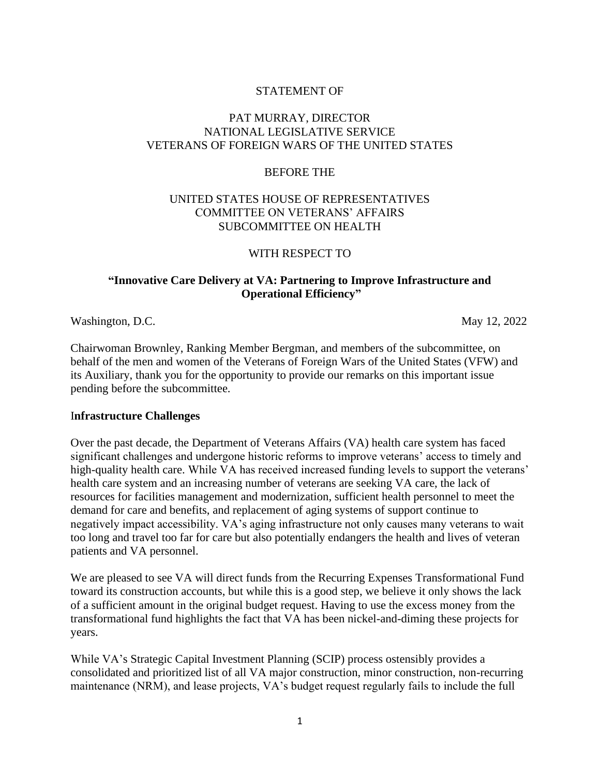## STATEMENT OF

## PAT MURRAY, DIRECTOR NATIONAL LEGISLATIVE SERVICE VETERANS OF FOREIGN WARS OF THE UNITED STATES

#### BEFORE THE

## UNITED STATES HOUSE OF REPRESENTATIVES COMMITTEE ON VETERANS' AFFAIRS SUBCOMMITTEE ON HEALTH

#### WITH RESPECT TO

## **"Innovative Care Delivery at VA: Partnering to Improve Infrastructure and Operational Efficiency"**

Washington, D.C. May 12, 2022

Chairwoman Brownley, Ranking Member Bergman, and members of the subcommittee, on behalf of the men and women of the Veterans of Foreign Wars of the United States (VFW) and its Auxiliary, thank you for the opportunity to provide our remarks on this important issue pending before the subcommittee.

#### I**nfrastructure Challenges**

Over the past decade, the Department of Veterans Affairs (VA) health care system has faced significant challenges and undergone historic reforms to improve veterans' access to timely and high-quality health care. While VA has received increased funding levels to support the veterans' health care system and an increasing number of veterans are seeking VA care, the lack of resources for facilities management and modernization, sufficient health personnel to meet the demand for care and benefits, and replacement of aging systems of support continue to negatively impact accessibility. VA's aging infrastructure not only causes many veterans to wait too long and travel too far for care but also potentially endangers the health and lives of veteran patients and VA personnel.

We are pleased to see VA will direct funds from the Recurring Expenses Transformational Fund toward its construction accounts, but while this is a good step, we believe it only shows the lack of a sufficient amount in the original budget request. Having to use the excess money from the transformational fund highlights the fact that VA has been nickel-and-diming these projects for years.

While VA's Strategic Capital Investment Planning (SCIP) process ostensibly provides a consolidated and prioritized list of all VA major construction, minor construction, non-recurring maintenance (NRM), and lease projects, VA's budget request regularly fails to include the full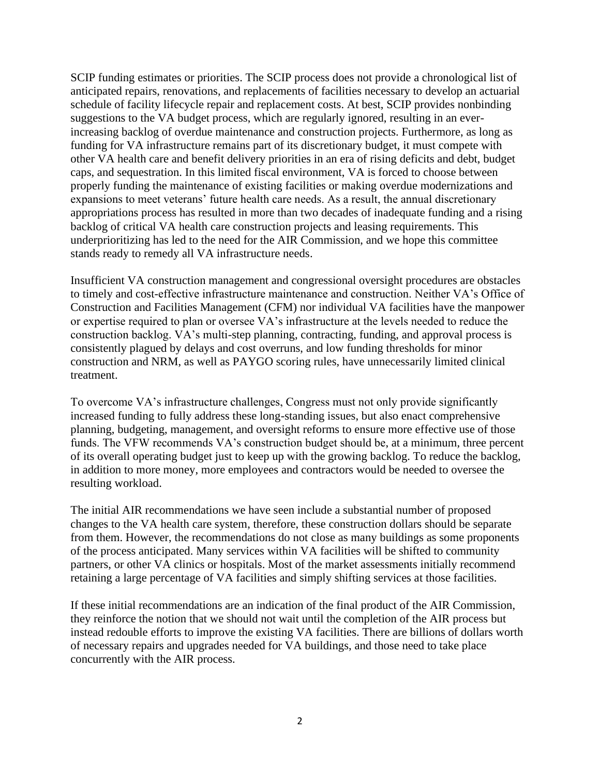SCIP funding estimates or priorities. The SCIP process does not provide a chronological list of anticipated repairs, renovations, and replacements of facilities necessary to develop an actuarial schedule of facility lifecycle repair and replacement costs. At best, SCIP provides nonbinding suggestions to the VA budget process, which are regularly ignored, resulting in an everincreasing backlog of overdue maintenance and construction projects. Furthermore, as long as funding for VA infrastructure remains part of its discretionary budget, it must compete with other VA health care and benefit delivery priorities in an era of rising deficits and debt, budget caps, and sequestration. In this limited fiscal environment, VA is forced to choose between properly funding the maintenance of existing facilities or making overdue modernizations and expansions to meet veterans' future health care needs. As a result, the annual discretionary appropriations process has resulted in more than two decades of inadequate funding and a rising backlog of critical VA health care construction projects and leasing requirements. This underprioritizing has led to the need for the AIR Commission, and we hope this committee stands ready to remedy all VA infrastructure needs.

Insufficient VA construction management and congressional oversight procedures are obstacles to timely and cost-effective infrastructure maintenance and construction. Neither VA's Office of Construction and Facilities Management (CFM) nor individual VA facilities have the manpower or expertise required to plan or oversee VA's infrastructure at the levels needed to reduce the construction backlog. VA's multi-step planning, contracting, funding, and approval process is consistently plagued by delays and cost overruns, and low funding thresholds for minor construction and NRM, as well as PAYGO scoring rules, have unnecessarily limited clinical treatment.

To overcome VA's infrastructure challenges, Congress must not only provide significantly increased funding to fully address these long-standing issues, but also enact comprehensive planning, budgeting, management, and oversight reforms to ensure more effective use of those funds. The VFW recommends VA's construction budget should be, at a minimum, three percent of its overall operating budget just to keep up with the growing backlog. To reduce the backlog, in addition to more money, more employees and contractors would be needed to oversee the resulting workload.

The initial AIR recommendations we have seen include a substantial number of proposed changes to the VA health care system, therefore, these construction dollars should be separate from them. However, the recommendations do not close as many buildings as some proponents of the process anticipated. Many services within VA facilities will be shifted to community partners, or other VA clinics or hospitals. Most of the market assessments initially recommend retaining a large percentage of VA facilities and simply shifting services at those facilities.

If these initial recommendations are an indication of the final product of the AIR Commission, they reinforce the notion that we should not wait until the completion of the AIR process but instead redouble efforts to improve the existing VA facilities. There are billions of dollars worth of necessary repairs and upgrades needed for VA buildings, and those need to take place concurrently with the AIR process.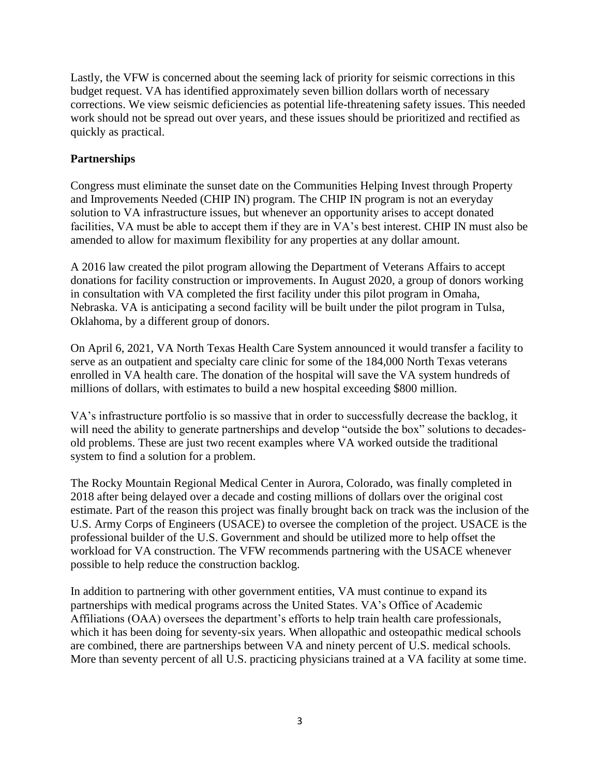Lastly, the VFW is concerned about the seeming lack of priority for seismic corrections in this budget request. VA has identified approximately seven billion dollars worth of necessary corrections. We view seismic deficiencies as potential life-threatening safety issues. This needed work should not be spread out over years, and these issues should be prioritized and rectified as quickly as practical.

# **Partnerships**

Congress must eliminate the sunset date on the Communities Helping Invest through Property and Improvements Needed (CHIP IN) program. The CHIP IN program is not an everyday solution to VA infrastructure issues, but whenever an opportunity arises to accept donated facilities, VA must be able to accept them if they are in VA's best interest. CHIP IN must also be amended to allow for maximum flexibility for any properties at any dollar amount.

A 2016 law created the pilot program allowing the Department of Veterans Affairs to accept donations for facility construction or improvements. In August 2020, a group of donors working in consultation with VA completed the first facility under this pilot program in Omaha, Nebraska. VA is anticipating a second facility will be built under the pilot program in Tulsa, Oklahoma, by a different group of donors.

On April 6, 2021, VA North Texas Health Care System announced it would transfer a facility to serve as an outpatient and specialty care clinic for some of the 184,000 North Texas veterans enrolled in VA health care. The donation of the hospital will save the VA system hundreds of millions of dollars, with estimates to build a new hospital exceeding \$800 million.

VA's infrastructure portfolio is so massive that in order to successfully decrease the backlog, it will need the ability to generate partnerships and develop "outside the box" solutions to decadesold problems. These are just two recent examples where VA worked outside the traditional system to find a solution for a problem.

The Rocky Mountain Regional Medical Center in Aurora, Colorado, was finally completed in 2018 after being delayed over a decade and costing millions of dollars over the original cost estimate. Part of the reason this project was finally brought back on track was the inclusion of the U.S. Army Corps of Engineers (USACE) to oversee the completion of the project. USACE is the professional builder of the U.S. Government and should be utilized more to help offset the workload for VA construction. The VFW recommends partnering with the USACE whenever possible to help reduce the construction backlog.

In addition to partnering with other government entities, VA must continue to expand its partnerships with medical programs across the United States. VA's Office of Academic Affiliations (OAA) oversees the department's efforts to help train health care professionals, which it has been doing for seventy-six years. When allopathic and osteopathic medical schools are combined, there are partnerships between VA and ninety percent of U.S. medical schools. More than seventy percent of all U.S. practicing physicians trained at a VA facility at some time.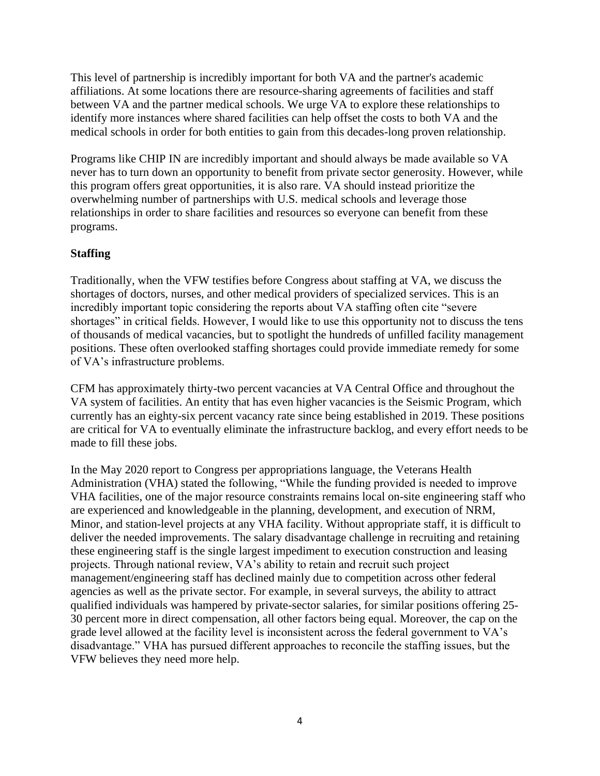This level of partnership is incredibly important for both VA and the partner's academic affiliations. At some locations there are resource-sharing agreements of facilities and staff between VA and the partner medical schools. We urge VA to explore these relationships to identify more instances where shared facilities can help offset the costs to both VA and the medical schools in order for both entities to gain from this decades-long proven relationship.

Programs like CHIP IN are incredibly important and should always be made available so VA never has to turn down an opportunity to benefit from private sector generosity. However, while this program offers great opportunities, it is also rare. VA should instead prioritize the overwhelming number of partnerships with U.S. medical schools and leverage those relationships in order to share facilities and resources so everyone can benefit from these programs.

# **Staffing**

Traditionally, when the VFW testifies before Congress about staffing at VA, we discuss the shortages of doctors, nurses, and other medical providers of specialized services. This is an incredibly important topic considering the reports about VA staffing often cite "severe shortages" in critical fields. However, I would like to use this opportunity not to discuss the tens of thousands of medical vacancies, but to spotlight the hundreds of unfilled facility management positions. These often overlooked staffing shortages could provide immediate remedy for some of VA's infrastructure problems.

CFM has approximately thirty-two percent vacancies at VA Central Office and throughout the VA system of facilities. An entity that has even higher vacancies is the Seismic Program, which currently has an eighty-six percent vacancy rate since being established in 2019. These positions are critical for VA to eventually eliminate the infrastructure backlog, and every effort needs to be made to fill these jobs.

In the May 2020 report to Congress per appropriations language, the Veterans Health Administration (VHA) stated the following, "While the funding provided is needed to improve VHA facilities, one of the major resource constraints remains local on-site engineering staff who are experienced and knowledgeable in the planning, development, and execution of NRM, Minor, and station-level projects at any VHA facility. Without appropriate staff, it is difficult to deliver the needed improvements. The salary disadvantage challenge in recruiting and retaining these engineering staff is the single largest impediment to execution construction and leasing projects. Through national review, VA's ability to retain and recruit such project management/engineering staff has declined mainly due to competition across other federal agencies as well as the private sector. For example, in several surveys, the ability to attract qualified individuals was hampered by private-sector salaries, for similar positions offering 25- 30 percent more in direct compensation, all other factors being equal. Moreover, the cap on the grade level allowed at the facility level is inconsistent across the federal government to VA's disadvantage." VHA has pursued different approaches to reconcile the staffing issues, but the VFW believes they need more help.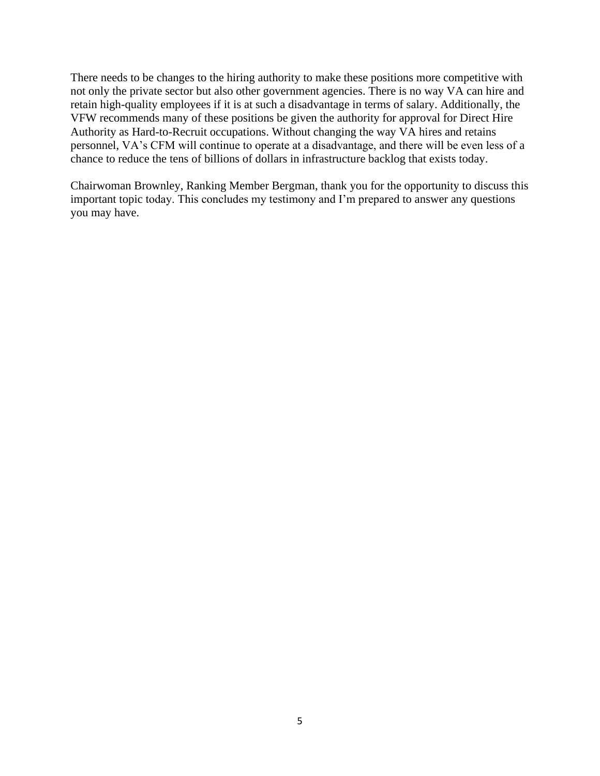There needs to be changes to the hiring authority to make these positions more competitive with not only the private sector but also other government agencies. There is no way VA can hire and retain high-quality employees if it is at such a disadvantage in terms of salary. Additionally, the VFW recommends many of these positions be given the authority for approval for Direct Hire Authority as Hard-to-Recruit occupations. Without changing the way VA hires and retains personnel, VA's CFM will continue to operate at a disadvantage, and there will be even less of a chance to reduce the tens of billions of dollars in infrastructure backlog that exists today.

Chairwoman Brownley, Ranking Member Bergman, thank you for the opportunity to discuss this important topic today. This concludes my testimony and I'm prepared to answer any questions you may have.